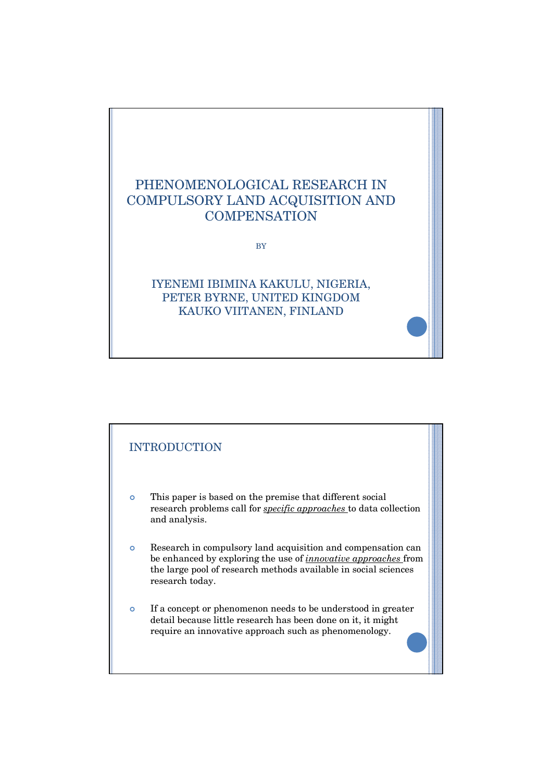

BY

## IYENEMI IBIMINA KAKULU, NIGERIA, PETER BYRNE, UNITED KINGDOM KAUKO VIITANEN, FINLAND

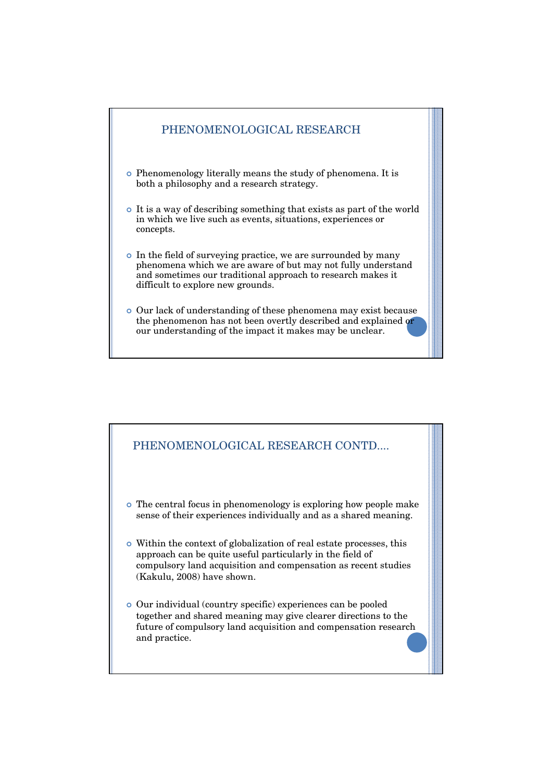

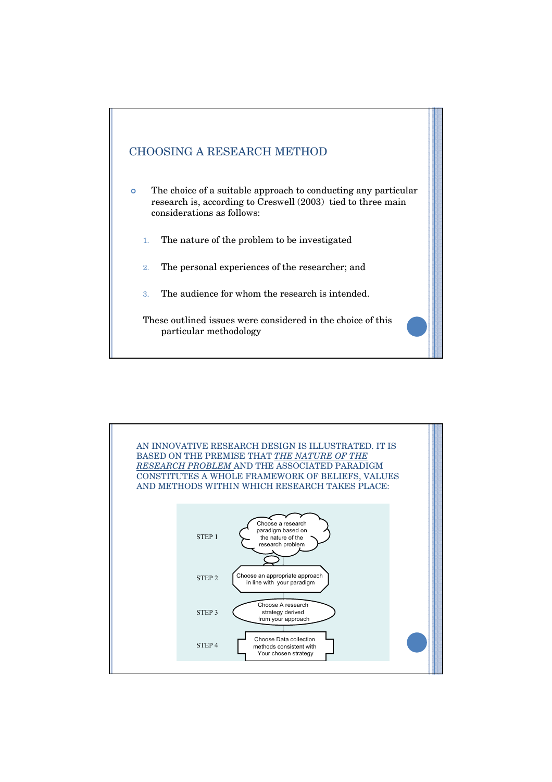

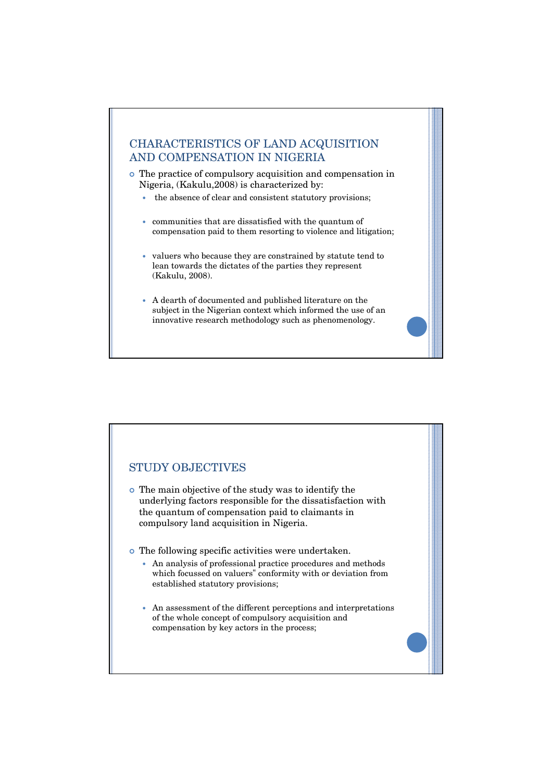# CHARACTERISTICS OF LAND ACQUISITION AND COMPENSATION IN NIGERIA

- <sup>|</sup> The practice of compulsory acquisition and compensation in Nigeria, (Kakulu,2008) is characterized by:
	- the absence of clear and consistent statutory provisions;
	- $\bullet$  communities that are dissatisfied with the quantum of compensation paid to them resorting to violence and litigation;
	- valuers who because they are constrained by statute tend to lean towards the dictates of the parties they represent (Kakulu, 2008).
	- y A dearth of documented and published literature on the subject in the Nigerian context which informed the use of an innovative research methodology such as phenomenology.



- <sup>|</sup> The main objective of the study was to identify the underlying factors responsible for the dissatisfaction with the quantum of compensation paid to claimants in compulsory land acquisition in Nigeria.
- <sup>|</sup> The following specific activities were undertaken.
	- An analysis of professional practice procedures and methods which focussed on valuers" conformity with or deviation from established statutory provisions;
	- An assessment of the different perceptions and interpretations of the whole concept of compulsory acquisition and compensation by key actors in the process;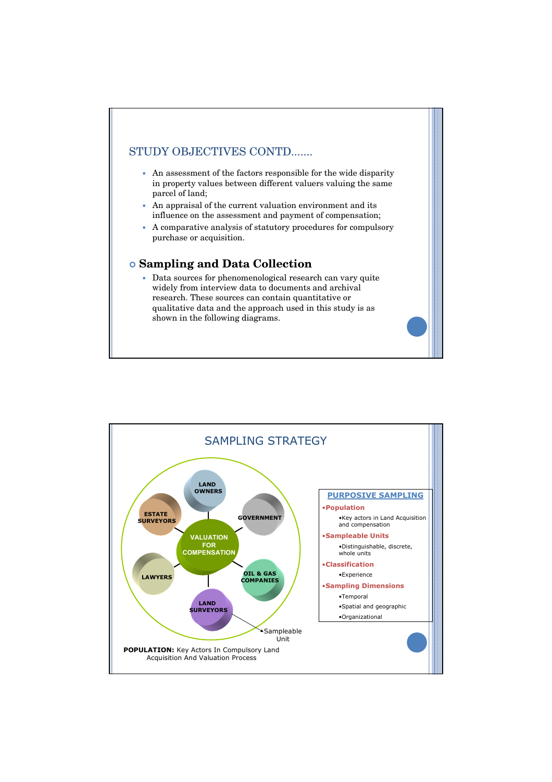### STUDY OBJECTIVES CONTD.......

- An assessment of the factors responsible for the wide disparity in property values between different valuers valuing the same parcel of land;
- An appraisal of the current valuation environment and its influence on the assessment and payment of compensation;
- A comparative analysis of statutory procedures for compulsory purchase or acquisition.

#### | **Sampling and Data Collection**

• Data sources for phenomenological research can vary quite widely from interview data to documents and archival research. These sources can contain quantitative or qualitative data and the approach used in this study is as shown in the following diagrams.

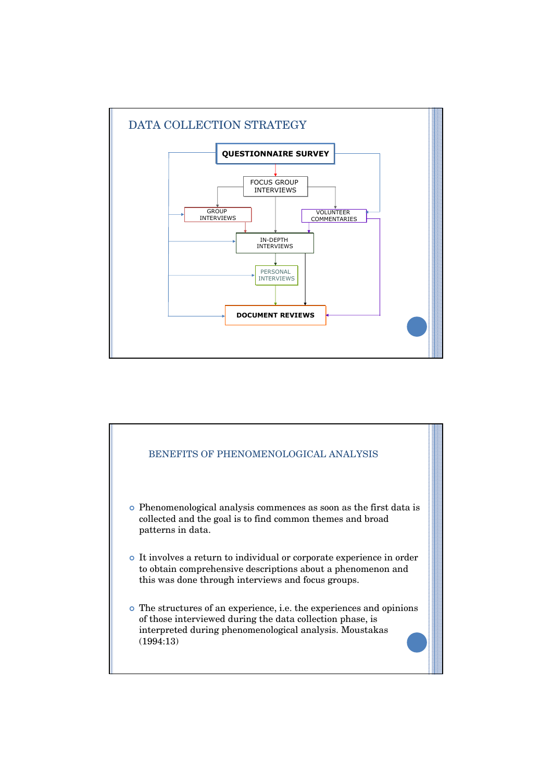

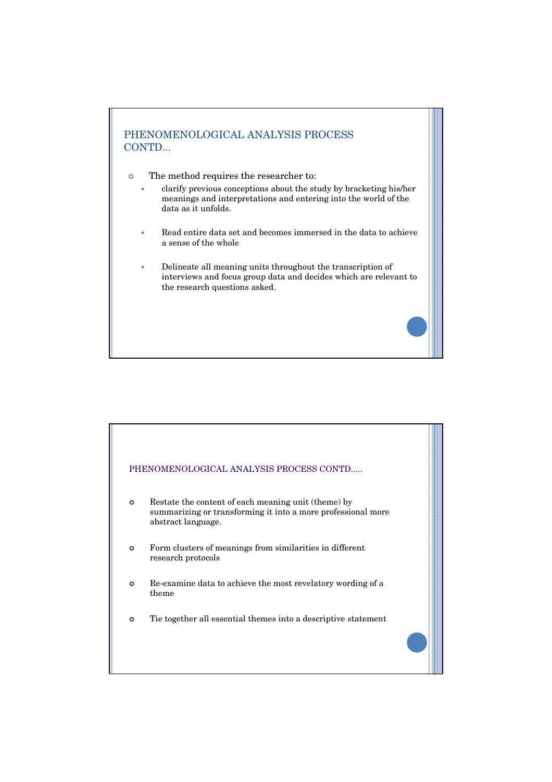

- <sup>|</sup> The method requires the researcher to:
	- clarify previous conceptions about the study by bracketing his/her meanings and interpretations and entering into the world of the data as it unfolds.
	- Read entire data set and becomes immersed in the data to achieve a sense of the whole
	- y Delineate all meaning units throughout the transcription of interviews and focus group data and decides which are relevant to the research questions asked.